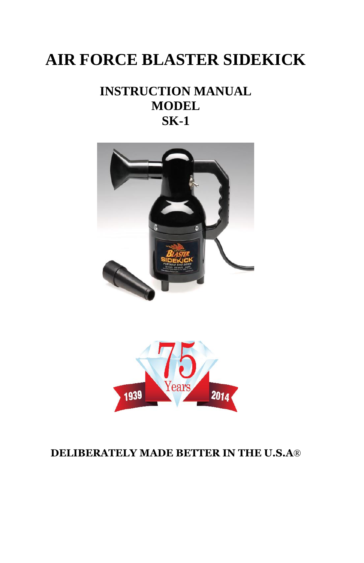# **AIR FORCE BLASTER SIDEKICK**

# **INSTRUCTION MANUAL MODEL SK-1**





## **DELIBERATELY MADE BETTER IN THE U.S.A**®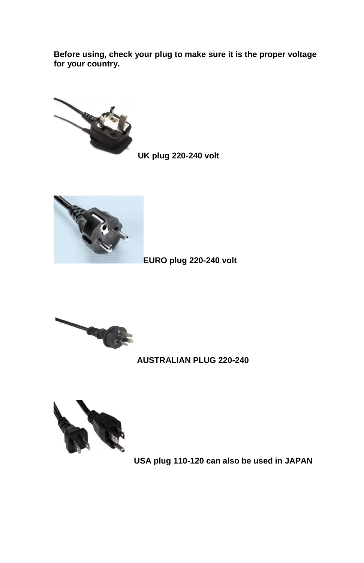**Before using, check your plug to make sure it is the proper voltage for your country.**



**UK plug 220-240 volt**



**EURO plug 220-240 volt**



**AUSTRALIAN PLUG 220-240**



**USA plug 110-120 can also be used in JAPAN**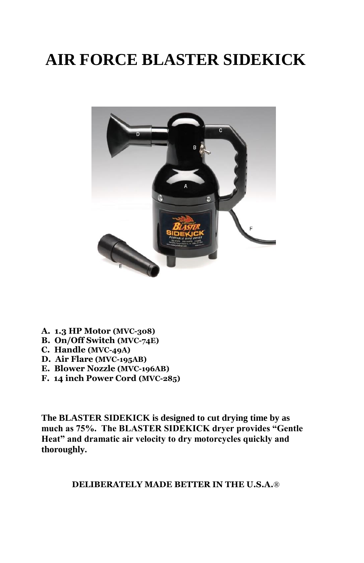# **AIR FORCE BLASTER SIDEKICK**



- **A. 1.3 HP Motor (MVC-308)**
- **B. On/Off Switch (MVC-74E)**
- **C. Handle (MVC-49A)**
- **D. Air Flare (MVC-195AB)**
- **E. Blower Nozzle (MVC-196AB)**
- **F. 14 inch Power Cord (MVC-285)**

**The BLASTER SIDEKICK is designed to cut drying time by as much as 75%. The BLASTER SIDEKICK dryer provides "Gentle Heat" and dramatic air velocity to dry motorcycles quickly and thoroughly.**

**DELIBERATELY MADE BETTER IN THE U.S.A.**®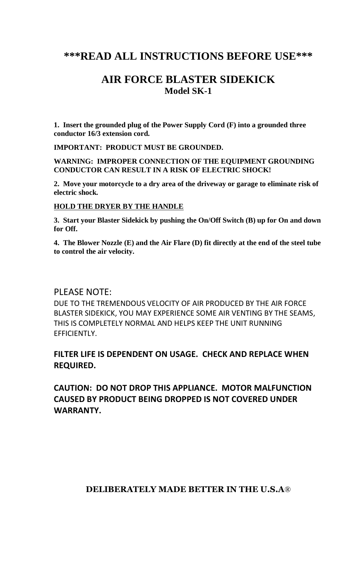### **\*\*\*READ ALL INSTRUCTIONS BEFORE USE\*\*\***

## **AIR FORCE BLASTER SIDEKICK Model SK-1**

**1. Insert the grounded plug of the Power Supply Cord (F) into a grounded three conductor 16/3 extension cord.**

**IMPORTANT: PRODUCT MUST BE GROUNDED.**

**WARNING: IMPROPER CONNECTION OF THE EQUIPMENT GROUNDING CONDUCTOR CAN RESULT IN A RISK OF ELECTRIC SHOCK!**

**2. Move your motorcycle to a dry area of the driveway or garage to eliminate risk of electric shock.**

#### **HOLD THE DRYER BY THE HANDLE**

**3. Start your Blaster Sidekick by pushing the On/Off Switch (B) up for On and down for Off.**

**4. The Blower Nozzle (E) and the Air Flare (D) fit directly at the end of the steel tube to control the air velocity.**

#### PLEASE NOTE:

DUE TO THE TREMENDOUS VELOCITY OF AIR PRODUCED BY THE AIR FORCE BLASTER SIDEKICK, YOU MAY EXPERIENCE SOME AIR VENTING BY THE SEAMS, THIS IS COMPLETELY NORMAL AND HELPS KEEP THE UNIT RUNNING EFFICIENTLY.

#### **FILTER LIFE IS DEPENDENT ON USAGE. CHECK AND REPLACE WHEN REQUIRED.**

**CAUTION: DO NOT DROP THIS APPLIANCE. MOTOR MALFUNCTION CAUSED BY PRODUCT BEING DROPPED IS NOT COVERED UNDER WARRANTY.**

#### **DELIBERATELY MADE BETTER IN THE U.S.A**®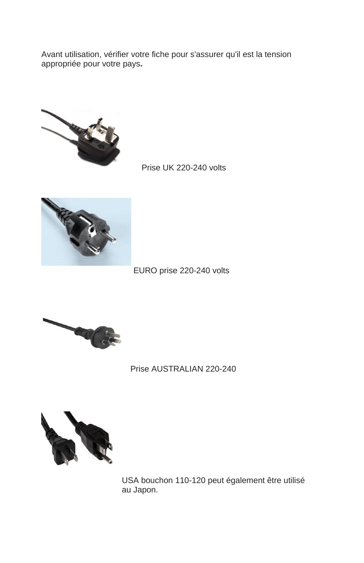Avant utilisation, vérifier votre fiche pour s'assurer qu'il est la tension appropriée pour votre pays**.**



Prise UK 220-240 volts



EURO prise 220-240 volts



Prise AUSTRALIAN 220-240



 USA bouchon 110-120 peut également être utilisé au Japon.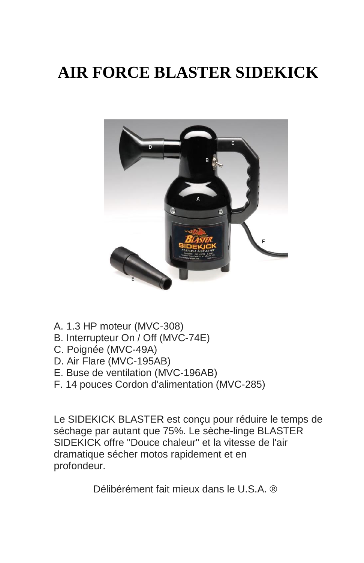# **AIR FORCE BLASTER SIDEKICK**



- A. 1.3 HP moteur (MVC-308)
- B. Interrupteur On / Off (MVC-74E)
- C. Poignée (MVC-49A)
- D. Air Flare (MVC-195AB)
- E. Buse de ventilation (MVC-196AB)
- F. 14 pouces Cordon d'alimentation (MVC-285)

Le SIDEKICK BLASTER est conçu pour réduire le temps de séchage par autant que 75%. Le sèche-linge BLASTER SIDEKICK offre "Douce chaleur" et la vitesse de l'air dramatique sécher motos rapidement et en profondeur.

Délibérément fait mieux dans le U.S.A. ®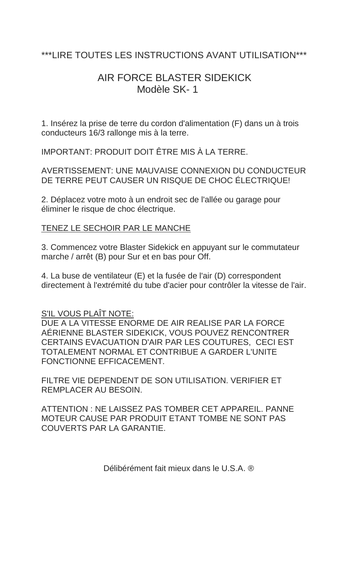### \*\*\*LIRE TOUTES LES INSTRUCTIONS AVANT UTILISATION\*\*\*

# AIR FORCE BLASTER SIDEKICK Modèle SK- 1

1. Insérez la prise de terre du cordon d'alimentation (F) dans un à trois conducteurs 16/3 rallonge mis à la terre.

IMPORTANT: PRODUIT DOIT ÊTRE MIS À LA TERRE.

AVERTISSEMENT: UNE MAUVAISE CONNEXION DU CONDUCTEUR DE TERRE PEUT CAUSER UN RISQUE DE CHOC ÉLECTRIQUE!

2. Déplacez votre moto à un endroit sec de l'allée ou garage pour éliminer le risque de choc électrique.

#### TENEZ LE SECHOIR PAR LE MANCHE

3. Commencez votre Blaster Sidekick en appuyant sur le commutateur marche / arrêt (B) pour Sur et en bas pour Off.

4. La buse de ventilateur (E) et la fusée de l'air (D) correspondent directement à l'extrémité du tube d'acier pour contrôler la vitesse de l'air.

#### S'IL VOUS PLAÎT NOTE:

DUE A LA VITESSE ENORME DE AIR REALISE PAR LA FORCE AÉRIENNE BLASTER SIDEKICK, VOUS POUVEZ RENCONTRER CERTAINS EVACUATION D'AIR PAR LES COUTURES, CECI EST TOTALEMENT NORMAL ET CONTRIBUE A GARDER L'UNITE FONCTIONNE EFFICACEMENT.

FILTRE VIE DEPENDENT DE SON UTILISATION. VERIFIER ET REMPLACER AU BESOIN.

ATTENTION : NE LAISSEZ PAS TOMBER CET APPAREIL. PANNE MOTEUR CAUSE PAR PRODUIT ETANT TOMBE NE SONT PAS COUVERTS PAR LA GARANTIE.

Délibérément fait mieux dans le U.S.A. ®